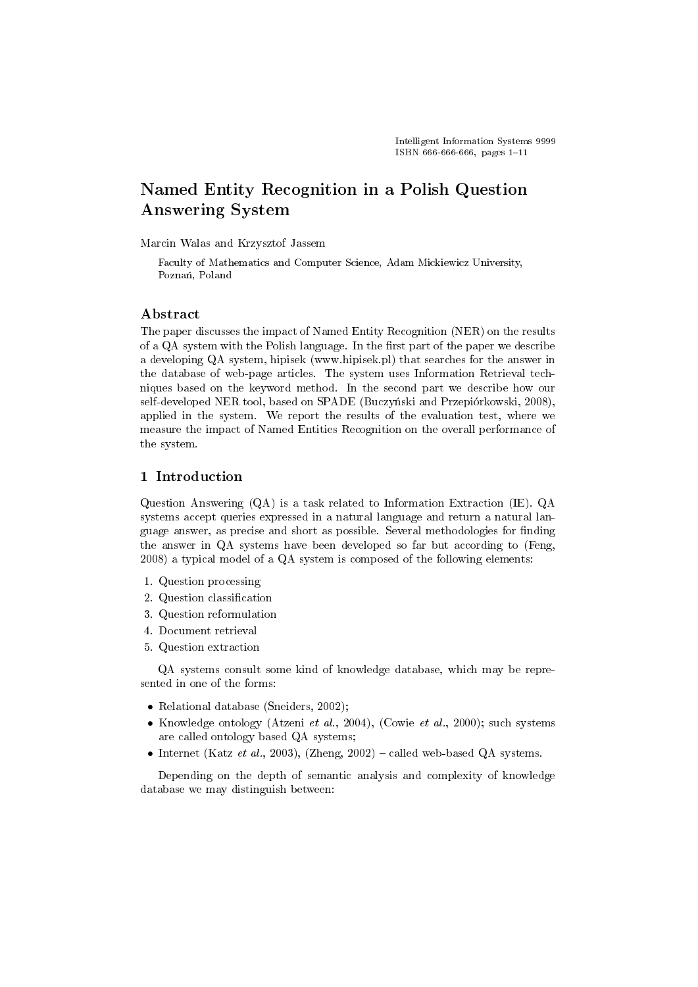# Named Entity Recognition in a Polish Question Answering System

Marcin Walas and Krzysztof Jassem

Faculty of Mathematics and Computer Science, Adam Mickiewicz University, Poznań, Poland

## Abstract

The paper discusses the impact of Named Entity Recognition (NER) on the results of a QA system with the Polish language. In the first part of the paper we describe a developing QA system, hipisek (www.hipisek.pl) that searches for the answer in the database of web-page articles. The system uses Information Retrieval techniques based on the keyword method. In the second part we describe how our self-developed NER tool, based on SPADE (Buczyński and Przepiórkowski, 2008), applied in the system. We report the results of the evaluation test, where we measure the impact of Named Entities Recognition on the overall performance of the system.

## 1 Introduction

Question Answering (QA) is a task related to Information Extraction (IE). QA systems accept queries expressed in a natural language and return a natural language answer, as precise and short as possible. Several methodologies for finding the answer in QA systems have been developed so far but according to (Feng, 2008) a typical model of a QA system is composed of the following elements:

- 1. Question processing
- 2. Question classification
- 3. Question reformulation
- 4. Document retrieval
- 5. Question extraction

QA systems consult some kind of knowledge database, which may be represented in one of the forms:

- Relational database (Sneiders, 2002);
- Knowledge ontology (Atzeni et al., 2004), (Cowie et al., 2000); such systems are called ontology based QA systems;
- Internet (Katz et al., 2003), (Zheng, 2002) called web-based QA systems.

Depending on the depth of semantic analysis and complexity of knowledge database we may distinguish between: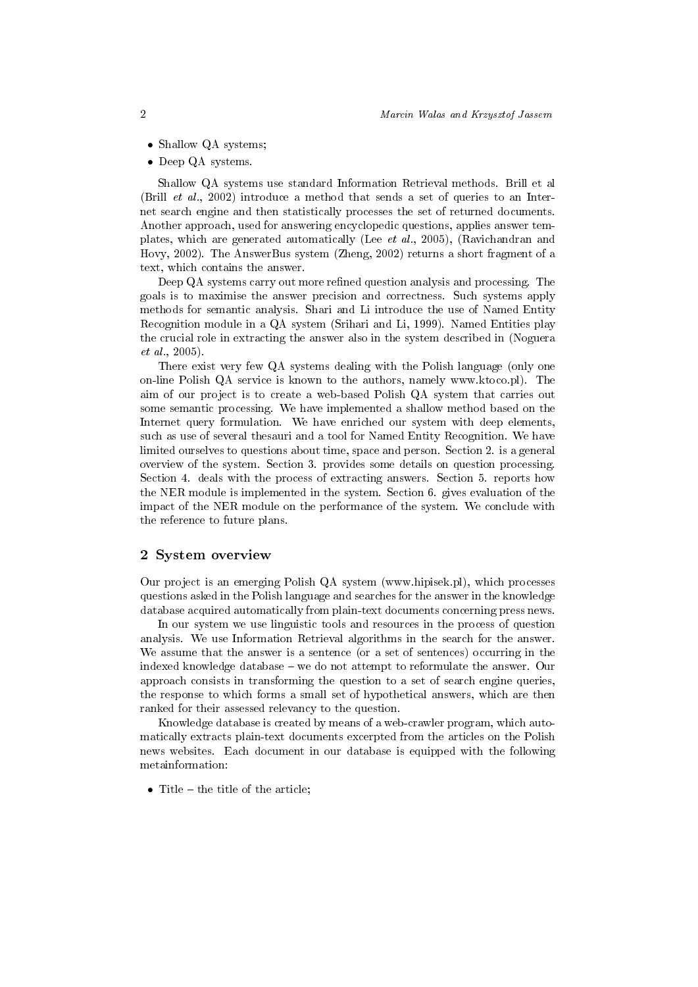- Shallow QA systems;
- Deep QA systems.

Shallow QA systems use standard Information Retrieval methods. Brill et al (Brill et al., 2002) introduce a method that sends a set of queries to an Internet search engine and then statistically processes the set of returned documents. Another approach, used for answering encyclopedic questions, applies answer templates, which are generated automatically (Lee et al., 2005), (Ravichandran and Hovy, 2002). The AnswerBus system (Zheng, 2002) returns a short fragment of a text, which contains the answer.

Deep QA systems carry out more refined question analysis and processing. The goals is to maximise the answer precision and correctness. Such systems apply methods for semantic analysis. Shari and Li introduce the use of Named Entity Recognition module in a QA system (Srihari and Li, 1999). Named Entities play the crucial role in extracting the answer also in the system described in (Noguera et al., 2005).

There exist very few QA systems dealing with the Polish language (only one on-line Polish QA service is known to the authors, namely www.ktoco.pl). The aim of our project is to create a web-based Polish QA system that carries out some semantic processing. We have implemented a shallow method based on the Internet query formulation. We have enriched our system with deep elements, such as use of several thesauri and a tool for Named Entity Recognition. We have limited ourselves to questions about time, space and person. Section 2. is a general overview of the system. Section 3. provides some details on question processing. Section 4. deals with the process of extracting answers. Section 5. reports how the NER module is implemented in the system. Section 6. gives evaluation of the impact of the NER module on the performance of the system. We conclude with the reference to future plans.

#### 2 System overview

Our project is an emerging Polish QA system (www.hipisek.pl), which processes questions asked in the Polish language and searches for the answer in the knowledge database acquired automatically from plain-text documents concerning press news.

In our system we use linguistic tools and resources in the process of question analysis. We use Information Retrieval algorithms in the search for the answer. We assume that the answer is a sentence (or a set of sentences) occurring in the indexed knowledge database – we do not attempt to reformulate the answer. Our approach consists in transforming the question to a set of search engine queries, the response to which forms a small set of hypothetical answers, which are then ranked for their assessed relevancy to the question.

Knowledge database is created by means of a web-crawler program, which automatically extracts plain-text documents excerpted from the articles on the Polish news websites. Each document in our database is equipped with the following metainformation:

• Title  $-$  the title of the article;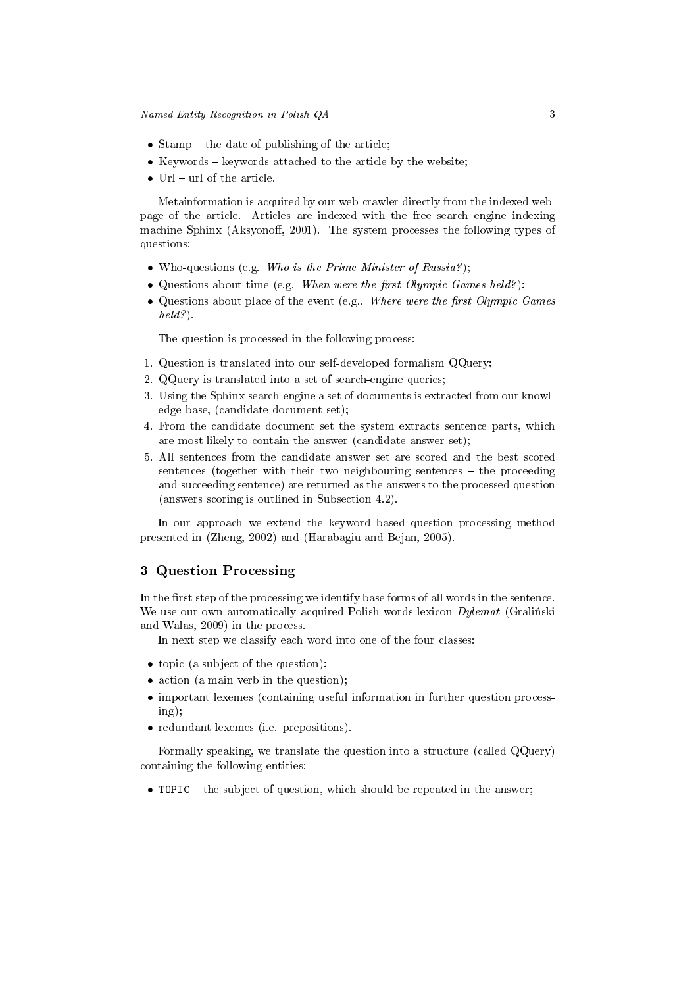- Stamp  $-$  the date of publishing of the article;
- Keywords  $-$  keywords attached to the article by the website;
- Url  $-$  url of the article.

Metainformation is acquired by our web-crawler directly from the indexed webpage of the article. Articles are indexed with the free search engine indexing machine Sphinx (Aksyonoff, 2001). The system processes the following types of questions:

- Who-questions (e.g. Who is the Prime Minister of Russia?);
- Questions about time (e.g. When were the first Olympic Games held?);
- Questions about place of the event (e.g.. Where were the first Olympic Games held?).

The question is processed in the following process:

- 1. Question is translated into our self-developed formalism QQuery;
- 2. QQuery is translated into a set of search-engine queries;
- 3. Using the Sphinx search-engine a set of documents is extracted from our knowledge base, (candidate document set);
- 4. From the candidate document set the system extracts sentence parts, which are most likely to contain the answer (candidate answer set);
- 5. All sentences from the candidate answer set are scored and the best scored sentences (together with their two neighbouring sentences  $-$  the proceeding and succeeding sentence) are returned as the answers to the processed question (answers scoring is outlined in Subsection 4.2).

In our approach we extend the keyword based question processing method presented in (Zheng, 2002) and (Harabagiu and Bejan, 2005).

# 3 Question Processing

In the first step of the processing we identify base forms of all words in the sentence. We use our own automatically acquired Polish words lexicon  $Dplement$  (Gralingski and Walas, 2009) in the process.

In next step we classify each word into one of the four classes:

- topic (a subject of the question);
- action (a main verb in the question);
- important lexemes (containing useful information in further question processing);
- redundant lexemes (i.e. prepositions).

Formally speaking, we translate the question into a structure (called QQuery) containing the following entities:

• TOPIC – the subject of question, which should be repeated in the answer;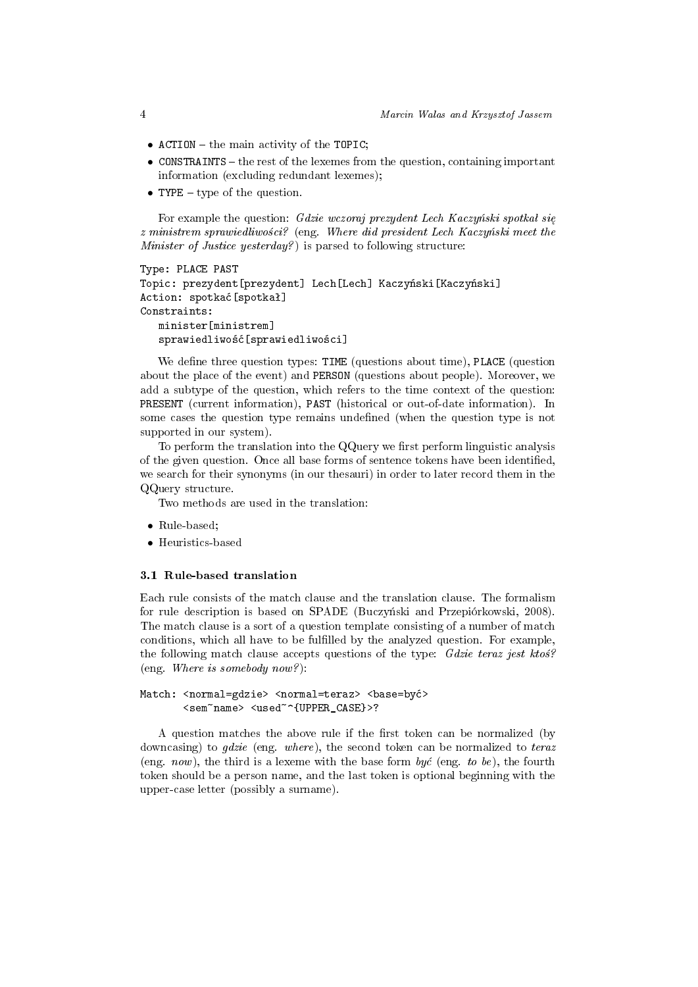- ACTION  $-$  the main activity of the TOPIC;
- CONSTRAINTS the rest of the lexemes from the question, containing important information (excluding redundant lexemes);
- TYPE  $-$  type of the question.

For example the question: Gdzie wczoraj prezydent Lech Kaczyński spotkał się  $z$  ministrem sprawiedliwości? (eng. Where did president Lech Kaczyński meet the Minister of Justice yesterday?) is parsed to following structure:

```
Type: PLACE PAST
Topic: prezydent[prezydent] Lech[Lech] Kaczyński[Kaczyński]
Action: spotka¢[spotkaª]
Constraints:
   minister[ministrem]
   sprawiedliwość[sprawiedliwości]
```
We define three question types: TIME (questions about time), PLACE (question about the place of the event) and PERSON (questions about people). Moreover, we add a subtype of the question, which refers to the time context of the question: PRESENT (current information), PAST (historical or out-of-date information). In some cases the question type remains undefined (when the question type is not supported in our system).

To perform the translation into the  $QQ$ uery we first perform linguistic analysis of the given question. Once all base forms of sentence tokens have been identified, we search for their synonyms (in our thesauri) in order to later record them in the QQuery structure.

Two methods are used in the translation:

- Rule-based;
- Heuristics-based

#### 3.1 Rule-based translation

Each rule consists of the match clause and the translation clause. The formalism for rule description is based on SPADE (Buczyński and Przepiórkowski, 2008). The match clause is a sort of a question template consisting of a number of match conditions, which all have to be fullled by the analyzed question. For example, the following match clause accepts questions of the type:  $Gdzie$  teraz jest ktos? (eng. Where is somebody now?):

#### Match: <normal=gdzie> <normal=teraz> <br/> <br/> <br/> <br/><>> <sem~name> <used~^{UPPER\_CASE}>?

A question matches the above rule if the first token can be normalized (by downcasing) to *gdzie* (eng. where), the second token can be normalized to teraz (eng. now), the third is a lexeme with the base form być (eng. to be), the fourth token should be a person name, and the last token is optional beginning with the upper-case letter (possibly a surname).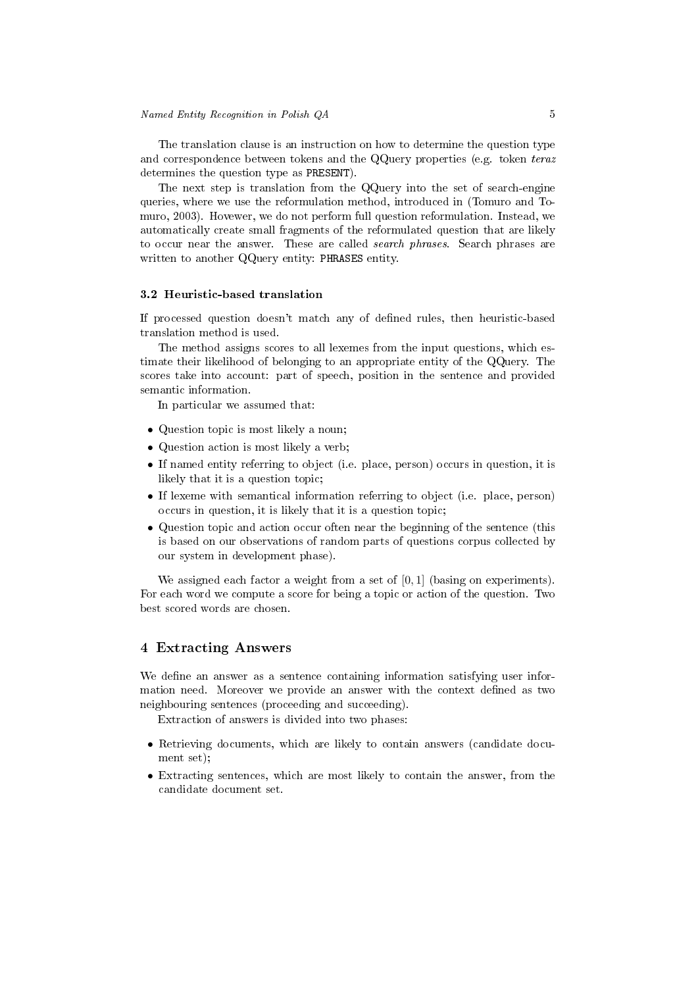The translation clause is an instruction on how to determine the question type and correspondence between tokens and the QQuery properties (e.g. token teraz determines the question type as PRESENT).

The next step is translation from the QQuery into the set of search-engine queries, where we use the reformulation method, introduced in (Tomuro and Tomuro, 2003). Hovewer, we do not perform full question reformulation. Instead, we automatically create small fragments of the reformulated question that are likely to occur near the answer. These are called search phrases. Search phrases are written to another QQuery entity: PHRASES entity.

#### 3.2 Heuristic-based translation

If processed question doesn't match any of dened rules, then heuristic-based translation method is used.

The method assigns scores to all lexemes from the input questions, which estimate their likelihood of belonging to an appropriate entity of the QQuery. The scores take into account: part of speech, position in the sentence and provided semantic information.

In particular we assumed that:

- Question topic is most likely a noun;
- Question action is most likely a verb;
- If named entity referring to object (i.e. place, person) occurs in question, it is likely that it is a question topic;
- If lexeme with semantical information referring to object (i.e. place, person) occurs in question, it is likely that it is a question topic;
- Question topic and action occur often near the beginning of the sentence (this is based on our observations of random parts of questions corpus collected by our system in development phase).

We assigned each factor a weight from a set of  $[0, 1]$  (basing on experiments). For each word we compute a score for being a topic or action of the question. Two best scored words are chosen.

## 4 Extracting Answers

We define an answer as a sentence containing information satisfying user information need. Moreover we provide an answer with the context defined as two neighbouring sentences (proceeding and succeeding).

Extraction of answers is divided into two phases:

- Retrieving documents, which are likely to contain answers (candidate document set);
- Extracting sentences, which are most likely to contain the answer, from the candidate document set.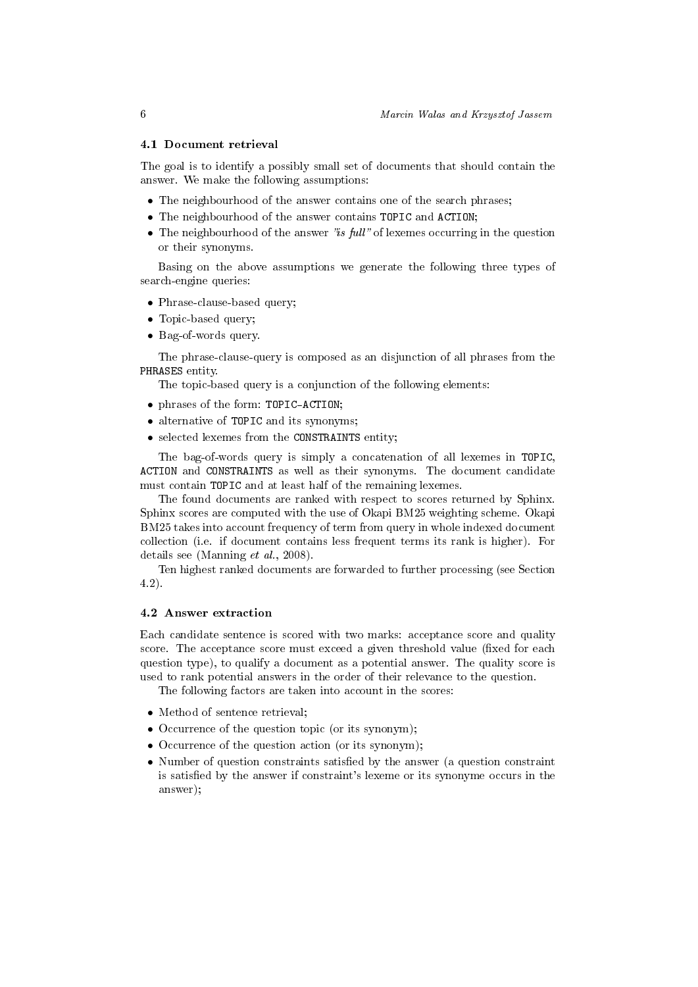#### 4.1 Document retrieval

The goal is to identify a possibly small set of documents that should contain the answer. We make the following assumptions:

- The neighbourhood of the answer contains one of the search phrases;
- The neighbourhood of the answer contains TOPIC and ACTION;
- The neighbourhood of the answer "is full" of lexemes occurring in the question or their synonyms.

Basing on the above assumptions we generate the following three types of search-engine queries:

- Phrase-clause-based query;
- Topic-based query;
- Bag-of-words query.

The phrase-clause-query is composed as an disjunction of all phrases from the PHRASES entity.

The topic-based query is a conjunction of the following elements:

- phrases of the form: TOPIC-ACTION;
- alternative of TOPIC and its synonyms:
- selected lexemes from the CONSTRAINTS entity;

The bag-of-words query is simply a concatenation of all lexemes in TOPIC, ACTION and CONSTRAINTS as well as their synonyms. The document candidate must contain TOPIC and at least half of the remaining lexemes.

The found documents are ranked with respect to scores returned by Sphinx. Sphinx scores are computed with the use of Okapi BM25 weighting scheme. Okapi BM25 takes into account frequency of term from query in whole indexed document collection (i.e. if document contains less frequent terms its rank is higher). For details see (Manning et al., 2008).

Ten highest ranked documents are forwarded to further processing (see Section 4.2).

## 4.2 Answer extraction

Each candidate sentence is scored with two marks: acceptance score and quality score. The acceptance score must exceed a given threshold value (fixed for each question type), to qualify a document as a potential answer. The quality score is used to rank potential answers in the order of their relevance to the question.

The following factors are taken into account in the scores:

- Method of sentence retrieval;
- Occurrence of the question topic (or its synonym);
- Occurrence of the question action (or its synonym);
- Number of question constraints satisfied by the answer (a question constraint is satisfied by the answer if constraint's lexeme or its synonyme occurs in the answer);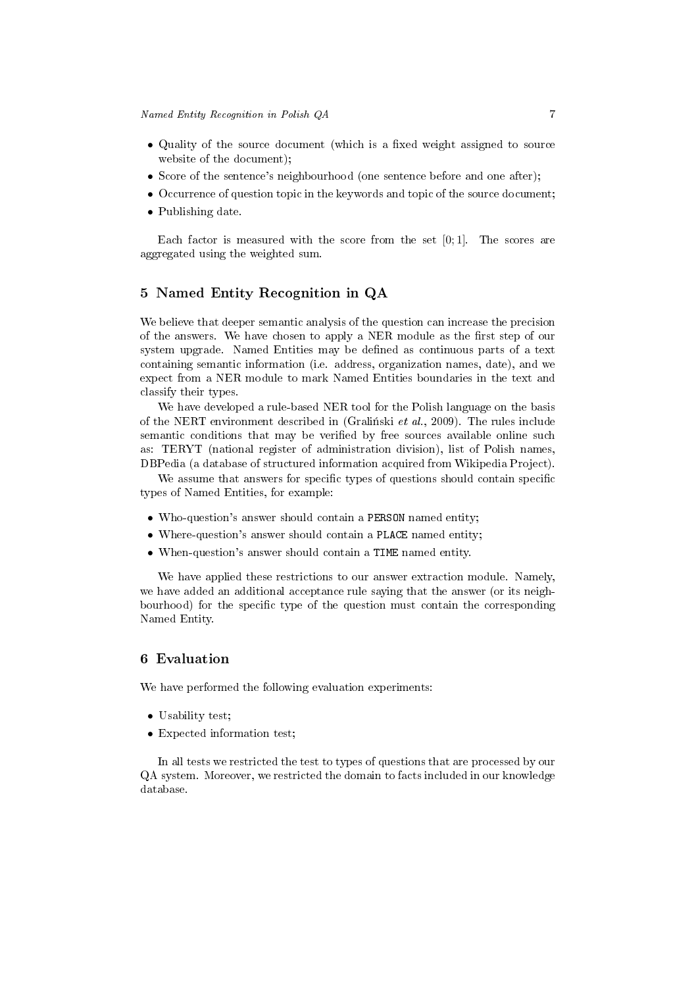- Quality of the source document (which is a fixed weight assigned to source website of the document);
- Score of the sentence's neighbourhood (one sentence before and one after);
- Occurrence of question topic in the keywords and topic of the source document;
- Publishing date.

Each factor is measured with the score from the set  $[0, 1]$ . The scores are aggregated using the weighted sum.

# 5 Named Entity Recognition in QA

We believe that deeper semantic analysis of the question can increase the precision of the answers. We have chosen to apply a NER module as the first step of our system upgrade. Named Entities may be dened as continuous parts of a text containing semantic information (i.e. address, organization names, date), and we expect from a NER module to mark Named Entities boundaries in the text and classify their types.

We have developed a rule-based NER tool for the Polish language on the basis of the NERT environment described in (Gralinski et al., 2009). The rules include semantic conditions that may be verified by free sources available online such as: TERYT (national register of administration division), list of Polish names, DBPedia (a database of structured information acquired from Wikipedia Project).

We assume that answers for specific types of questions should contain specific types of Named Entities, for example:

- Who-question's answer should contain a PERSON named entity;
- Where-question's answer should contain a PLACE named entity;
- When-question's answer should contain a TIME named entity.

We have applied these restrictions to our answer extraction module. Namely, we have added an additional acceptance rule saying that the answer (or its neighbourhood) for the specific type of the question must contain the corresponding Named Entity.

## 6 Evaluation

We have performed the following evaluation experiments:

- Usability test;
- Expected information test;

In all tests we restricted the test to types of questions that are processed by our QA system. Moreover, we restricted the domain to facts included in our knowledge database.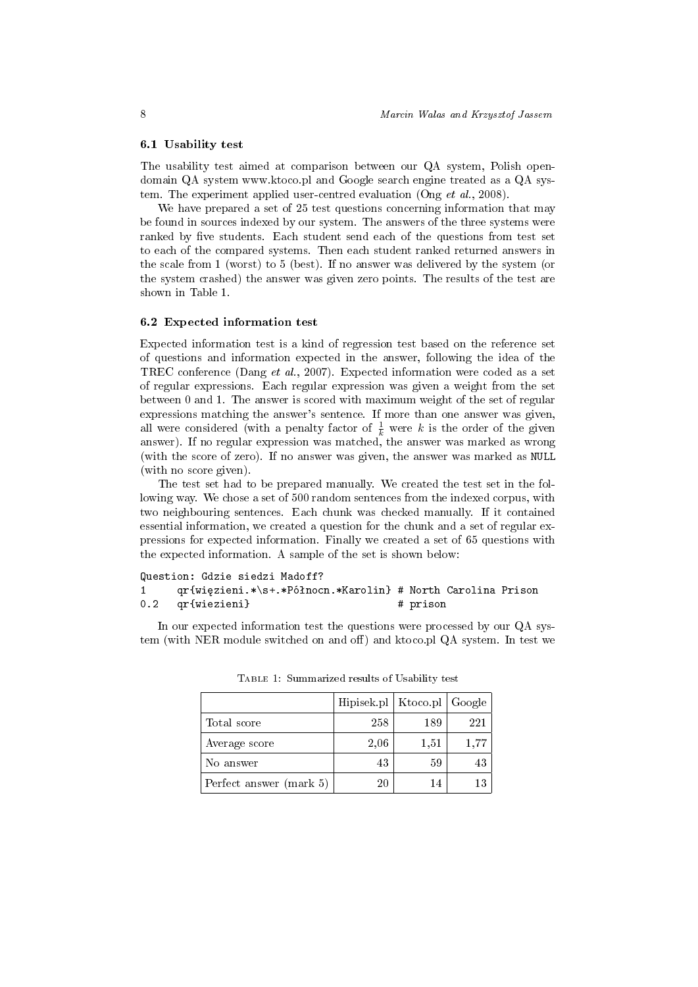#### 6.1 Usability test

The usability test aimed at comparison between our QA system, Polish opendomain QA system www.ktoco.pl and Google search engine treated as a QA system. The experiment applied user-centred evaluation (Ong et al., 2008).

We have prepared a set of 25 test questions concerning information that may be found in sources indexed by our system. The answers of the three systems were ranked by five students. Each student send each of the questions from test set to each of the compared systems. Then each student ranked returned answers in the scale from 1 (worst) to 5 (best). If no answer was delivered by the system (or the system crashed) the answer was given zero points. The results of the test are shown in Table 1.

#### 6.2 Expected information test

Expected information test is a kind of regression test based on the reference set of questions and information expected in the answer, following the idea of the TREC conference (Dang et al., 2007). Expected information were coded as a set of regular expressions. Each regular expression was given a weight from the set between 0 and 1. The answer is scored with maximum weight of the set of regular expressions matching the answer's sentence. If more than one answer was given, all were considered (with a penalty factor of  $\frac{1}{k}$  were k is the order of the given answer). If no regular expression was matched, the answer was marked as wrong (with the score of zero). If no answer was given, the answer was marked as NULL (with no score given).

The test set had to be prepared manually. We created the test set in the following way. We chose a set of 500 random sentences from the indexed corpus, with two neighbouring sentences. Each chunk was checked manually. If it contained essential information, we created a question for the chunk and a set of regular expressions for expected information. Finally we created a set of 65 questions with the expected information. A sample of the set is shown below:

### Question: Gdzie siedzi Madoff? 1 qr{więzieni.\*\s+.\*Północn.\*Karolin} # North Carolina Prison 0.2 qr{wiezieni} # prison

In our expected information test the questions were processed by our QA system (with NER module switched on and off) and ktoco.pl QA system. In test we

|                         | Hipisek.pl   Ktoco.pl   Google |      |      |
|-------------------------|--------------------------------|------|------|
| Total score             | 258                            | 189  | 221  |
| Average score           | 2,06                           | 1,51 | 1,77 |
| No answer               | 43                             | 59   | 43   |
| Perfect answer (mark 5) | 20                             | 14   | 13   |

Table 1: Summarized results of Usability test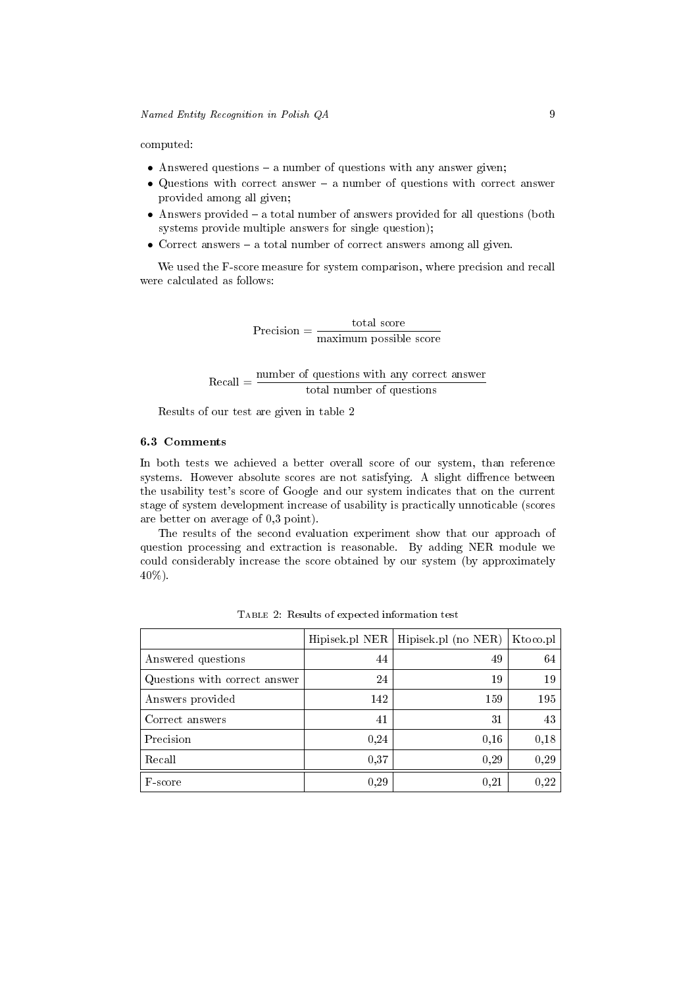computed:

- Answered questions  $-$  a number of questions with any answer given;
- Questions with correct answer  $-$  a number of questions with correct answer provided among all given;
- Answers provided  $-$  a total number of answers provided for all questions (both systems provide multiple answers for single question);
- Correct answers  $-$  a total number of correct answers among all given.

We used the F-score measure for system comparison, where precision and recall were calculated as follows:

> $Precision = \frac{\text{total score}}{\text{total}}$ maximum possible score

Recall = number of questions with any correct answer total number of questions

Results of our test are given in table 2

# 6.3 Comments

In both tests we achieved a better overall score of our system, than reference systems. However absolute scores are not satisfying. A slight diffrence between the usability test's score of Google and our system indicates that on the current stage of system development increase of usability is practically unnoticable (scores are better on average of 0,3 point).

The results of the second evaluation experiment show that our approach of question processing and extraction is reasonable. By adding NER module we could considerably increase the score obtained by our system (by approximately 40%).

|                               | Hipisek.pl NER | Hipisek.pl (no NER) | Ktoco.pl |
|-------------------------------|----------------|---------------------|----------|
| Answered questions            | 44             | 49                  | 64       |
| Questions with correct answer | 24             | 19                  | 19       |
| Answers provided              | 142            | 159                 | 195      |
| Correct answers               | 41             | 31                  | 43       |
| Precision                     | 0,24           | 0,16                | 0,18     |
| Recall                        | 0.37           | 0,29                | 0.29     |
| F-score                       | 0.29           | 0.21                | 0,22     |

Table 2: Results of expected information test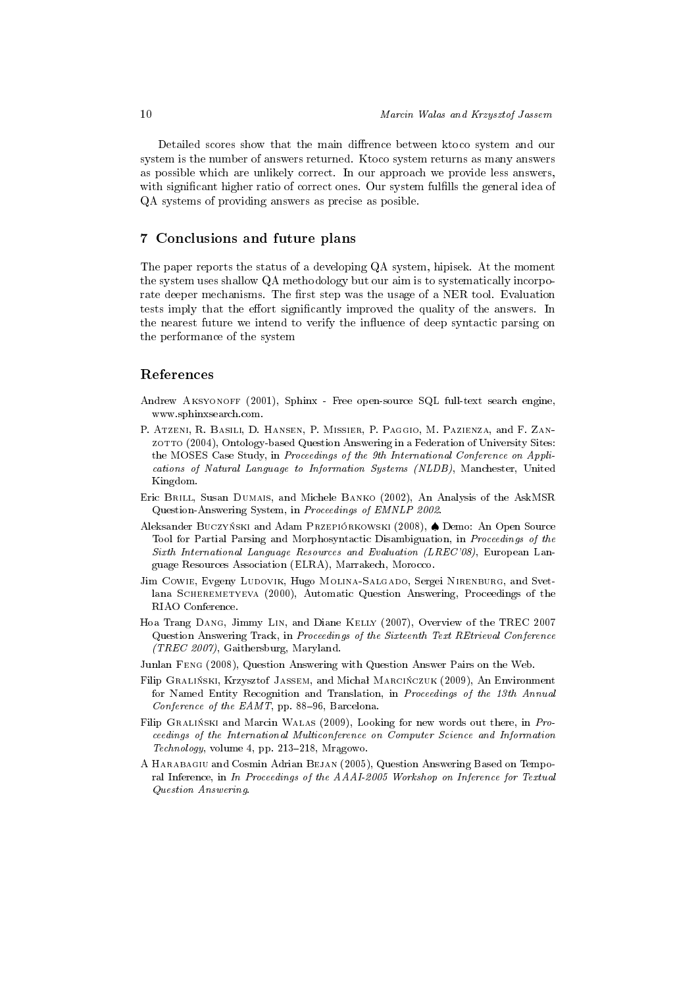Detailed scores show that the main diffrence between ktoco system and our system is the number of answers returned. Ktoco system returns as many answers as possible which are unlikely correct. In our approach we provide less answers, with significant higher ratio of correct ones. Our system fulfills the general idea of QA systems of providing answers as precise as posible.

## 7 Conclusions and future plans

The paper reports the status of a developing QA system, hipisek. At the moment the system uses shallow QA methodology but our aim is to systematically incorporate deeper mechanisms. The first step was the usage of a NER tool. Evaluation tests imply that the effort significantly improved the quality of the answers. In the nearest future we intend to verify the influence of deep syntactic parsing on the performance of the system

## References

- Andrew Aksyonoff (2001), Sphinx Free open-source SQL full-text search engine, www.sphinxsearch.com.
- P. Atzeni, R. Basili, D. Hansen, P. Missier, P. Paggio, M. Pazienza, and F. Zanzotto (2004), Ontology-based Question Answering in a Federation of University Sites: the MOSES Case Study, in Proceedings of the 9th International Conference on Applications of Natural Language to Information Systems (NLDB), Manchester, United Kingdom.
- Eric Brill, Susan Dumais, and Michele Banko (2002), An Analysis of the AskMSR Question-Answering System, in Proceedings of EMNLP 2002.
- Aleksander Buczyński and Adam Przepiórkowski (2008), ♦ Demo: An Open Source Tool for Partial Parsing and Morphosyntactic Disambiguation, in Proceedings of the Sixth International Language Resources and Evaluation (LREC'08), European Language Resources Association (ELRA), Marrakech, Morocco.
- Jim Cowie, Evgeny Ludovik, Hugo Molina-Salgado, Sergei Nirenburg, and Svetlana SCHEREMETYEVA (2000), Automatic Question Answering, Proceedings of the RIAO Conference.
- Hoa Trang Dang, Jimmy Lin, and Diane Kelly (2007), Overview of the TREC 2007 Question Answering Track, in Proceedings of the Sixteenth Text REtrieval Conference (TREC 2007), Gaithersburg, Maryland.
- Junlan Feng (2008), Question Answering with Question Answer Pairs on the Web.
- Filip GRALIŃSKI, Krzysztof JASSEM, and Michał MARCIŃCZUK (2009), An Environment for Named Entity Recognition and Translation, in Proceedings of the 13th Annual Conference of the  $EAMT$ , pp. 88-96, Barcelona.
- Filip GRALIŃSKI and Marcin WALAS (2009), Looking for new words out there, in Proceedings of the International Multiconference on Computer Science and Information  $Technology, volume 4, pp. 213-218, Mragowo.$
- A Harabagiu and Cosmin Adrian Bejan (2005), Question Answering Based on Temporal Inference, in In Proceedings of the AAAI-2005 Workshop on Inference for Textual Question Answering.